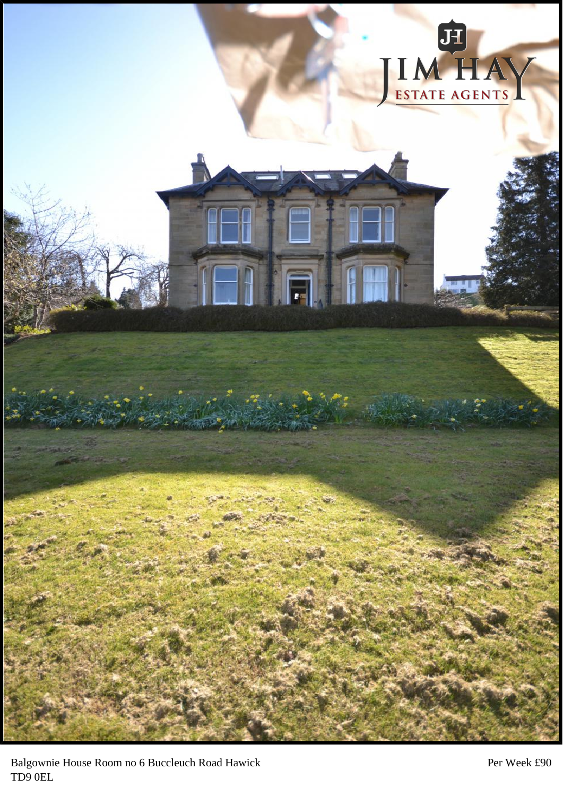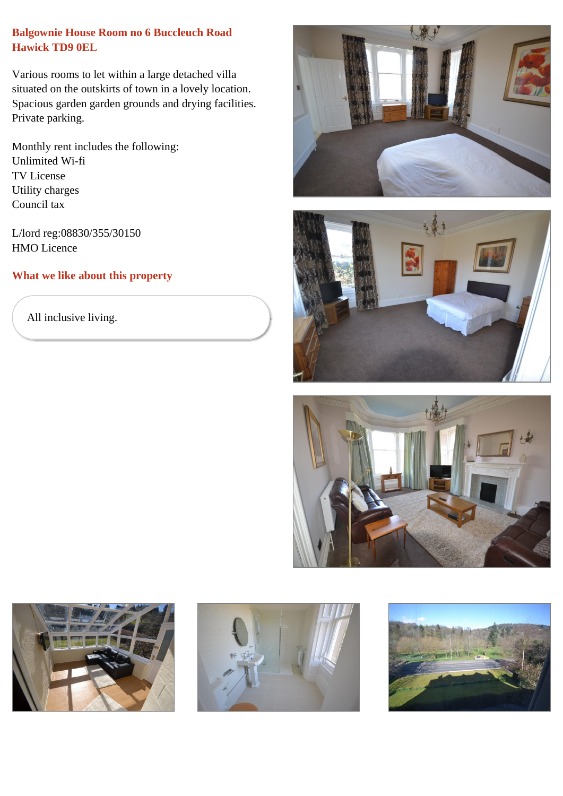## **Balgownie House Room no 6 Buccleuch Road Hawick TD9 0EL**

Various rooms to let within a large detached villa situated on the outskirts of town in a lovely location. Spacious garden garden grounds and drying facilities. Private parking.

Monthly rent includes the following: Unlimited Wi-fi TV License Utility charges Council tax

L/lord reg:08830/355/30150 HMO Licence

## **What we like about this property**

All inclusive living.